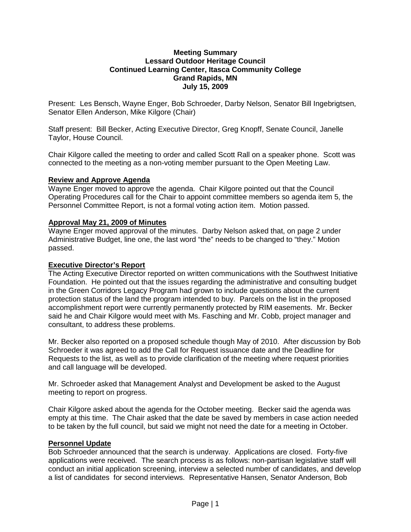#### **Meeting Summary Lessard Outdoor Heritage Council Continued Learning Center, Itasca Community College Grand Rapids, MN July 15, 2009**

Present: Les Bensch, Wayne Enger, Bob Schroeder, Darby Nelson, Senator Bill Ingebrigtsen, Senator Ellen Anderson, Mike Kilgore (Chair)

Staff present: Bill Becker, Acting Executive Director, Greg Knopff, Senate Council, Janelle Taylor, House Council.

Chair Kilgore called the meeting to order and called Scott Rall on a speaker phone. Scott was connected to the meeting as a non-voting member pursuant to the Open Meeting Law.

#### **Review and Approve Agenda**

Wayne Enger moved to approve the agenda. Chair Kilgore pointed out that the Council Operating Procedures call for the Chair to appoint committee members so agenda item 5, the Personnel Committee Report, is not a formal voting action item. Motion passed.

# **Approval May 21, 2009 of Minutes**

Wayne Enger moved approval of the minutes. Darby Nelson asked that, on page 2 under Administrative Budget, line one, the last word "the" needs to be changed to "they." Motion passed.

#### **Executive Director's Report**

The Acting Executive Director reported on written communications with the Southwest Initiative Foundation. He pointed out that the issues regarding the administrative and consulting budget in the Green Corridors Legacy Program had grown to include questions about the current protection status of the land the program intended to buy. Parcels on the list in the proposed accomplishment report were currently permanently protected by RIM easements. Mr. Becker said he and Chair Kilgore would meet with Ms. Fasching and Mr. Cobb, project manager and consultant, to address these problems.

Mr. Becker also reported on a proposed schedule though May of 2010. After discussion by Bob Schroeder it was agreed to add the Call for Request issuance date and the Deadline for Requests to the list, as well as to provide clarification of the meeting where request priorities and call language will be developed.

Mr. Schroeder asked that Management Analyst and Development be asked to the August meeting to report on progress.

Chair Kilgore asked about the agenda for the October meeting. Becker said the agenda was empty at this time. The Chair asked that the date be saved by members in case action needed to be taken by the full council, but said we might not need the date for a meeting in October.

# **Personnel Update**

Bob Schroeder announced that the search is underway. Applications are closed. Forty-five applications were received. The search process is as follows: non-partisan legislative staff will conduct an initial application screening, interview a selected number of candidates, and develop a list of candidates for second interviews. Representative Hansen, Senator Anderson, Bob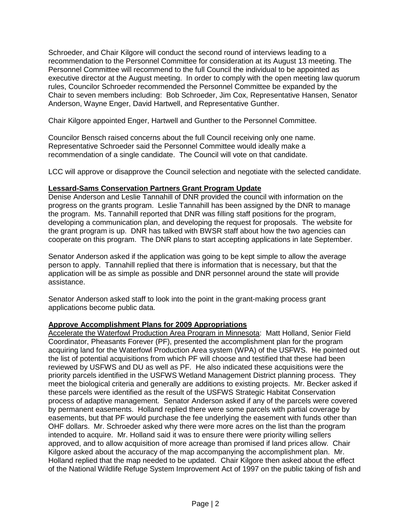Schroeder, and Chair Kilgore will conduct the second round of interviews leading to a recommendation to the Personnel Committee for consideration at its August 13 meeting. The Personnel Committee will recommend to the full Council the individual to be appointed as executive director at the August meeting. In order to comply with the open meeting law quorum rules, Councilor Schroeder recommended the Personnel Committee be expanded by the Chair to seven members including: Bob Schroeder, Jim Cox, Representative Hansen, Senator Anderson, Wayne Enger, David Hartwell, and Representative Gunther.

Chair Kilgore appointed Enger, Hartwell and Gunther to the Personnel Committee.

Councilor Bensch raised concerns about the full Council receiving only one name. Representative Schroeder said the Personnel Committee would ideally make a recommendation of a single candidate. The Council will vote on that candidate.

LCC will approve or disapprove the Council selection and negotiate with the selected candidate.

# **Lessard-Sams Conservation Partners Grant Program Update**

Denise Anderson and Leslie Tannahill of DNR provided the council with information on the progress on the grants program. Leslie Tannahill has been assigned by the DNR to manage the program. Ms. Tannahill reported that DNR was filling staff positions for the program, developing a communication plan, and developing the request for proposals. The website for the grant program is up. DNR has talked with BWSR staff about how the two agencies can cooperate on this program. The DNR plans to start accepting applications in late September.

Senator Anderson asked if the application was going to be kept simple to allow the average person to apply. Tannahill replied that there is information that is necessary, but that the application will be as simple as possible and DNR personnel around the state will provide assistance.

Senator Anderson asked staff to look into the point in the grant-making process grant applications become public data.

# **Approve Accomplishment Plans for 2009 Appropriations**

Accelerate the Waterfowl Production Area Program in Minnesota: Matt Holland, Senior Field Coordinator, Pheasants Forever (PF), presented the accomplishment plan for the program acquiring land for the Waterfowl Production Area system (WPA) of the USFWS. He pointed out the list of potential acquisitions from which PF will choose and testified that these had been reviewed by USFWS and DU as well as PF. He also indicated these acquisitions were the priority parcels identified in the USFWS Wetland Management District planning process. They meet the biological criteria and generally are additions to existing projects. Mr. Becker asked if these parcels were identified as the result of the USFWS Strategic Habitat Conservation process of adaptive management. Senator Anderson asked if any of the parcels were covered by permanent easements. Holland replied there were some parcels with partial coverage by easements, but that PF would purchase the fee underlying the easement with funds other than OHF dollars. Mr. Schroeder asked why there were more acres on the list than the program intended to acquire. Mr. Holland said it was to ensure there were priority willing sellers approved, and to allow acquisition of more acreage than promised if land prices allow. Chair Kilgore asked about the accuracy of the map accompanying the accomplishment plan. Mr. Holland replied that the map needed to be updated. Chair Kilgore then asked about the effect of the National Wildlife Refuge System Improvement Act of 1997 on the public taking of fish and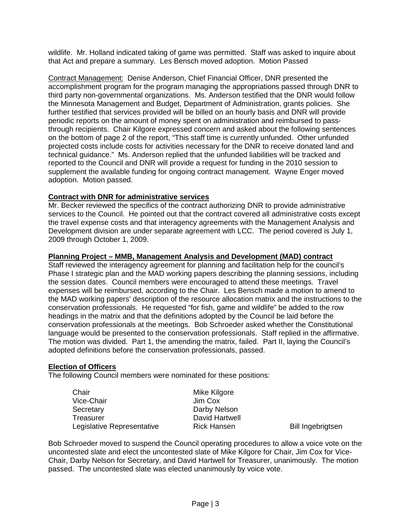wildlife. Mr. Holland indicated taking of game was permitted. Staff was asked to inquire about that Act and prepare a summary. Les Bensch moved adoption. Motion Passed

Contract Management: Denise Anderson, Chief Financial Officer, DNR presented the accomplishment program for the program managing the appropriations passed through DNR to third party non-governmental organizations. Ms. Anderson testified that the DNR would follow the Minnesota Management and Budget, Department of Administration, grants policies. She further testified that services provided will be billed on an hourly basis and DNR will provide periodic reports on the amount of money spent on administration and reimbursed to passthrough recipients. Chair Kilgore expressed concern and asked about the following sentences on the bottom of page 2 of the report, "This staff time is currently unfunded. Other unfunded projected costs include costs for activities necessary for the DNR to receive donated land and technical guidance." Ms. Anderson replied that the unfunded liabilities will be tracked and reported to the Council and DNR will provide a request for funding in the 2010 session to supplement the available funding for ongoing contract management. Wayne Enger moved adoption. Motion passed.

# **Contract with DNR for administrative services**

Mr. Becker reviewed the specifics of the contract authorizing DNR to provide administrative services to the Council. He pointed out that the contract covered all administrative costs except the travel expense costs and that interagency agreements with the Management Analysis and Development division are under separate agreement with LCC. The period covered is July 1, 2009 through October 1, 2009.

# **Planning Project – MMB, Management Analysis and Development (MAD) contract**

Staff reviewed the interagency agreement for planning and facilitation help for the council's Phase I strategic plan and the MAD working papers describing the planning sessions, including the session dates. Council members were encouraged to attend these meetings. Travel expenses will be reimbursed, according to the Chair. Les Bensch made a motion to amend to the MAD working papers' description of the resource allocation matrix and the instructions to the conservation professionals. He requested "for fish, game and wildlife" be added to the row headings in the matrix and that the definitions adopted by the Council be laid before the conservation professionals at the meetings. Bob Schroeder asked whether the Constitutional language would be presented to the conservation professionals. Staff replied in the affirmative. The motion was divided. Part 1, the amending the matrix, failed. Part II, laying the Council's adopted definitions before the conservation professionals, passed.

# **Election of Officers**

The following Council members were nominated for these positions:

| Chair<br>Vice-Chair        | Mike Kilgore<br>Jim Cox |                          |
|----------------------------|-------------------------|--------------------------|
| Secretary                  | Darby Nelson            |                          |
| Treasurer                  | David Hartwell          |                          |
| Legislative Representative | <b>Rick Hansen</b>      | <b>Bill Ingebrigtsen</b> |

Bob Schroeder moved to suspend the Council operating procedures to allow a voice vote on the uncontested slate and elect the uncontested slate of Mike Kilgore for Chair, Jim Cox for Vice-Chair, Darby Nelson for Secretary, and David Hartwell for Treasurer, unanimously. The motion passed. The uncontested slate was elected unanimously by voice vote.